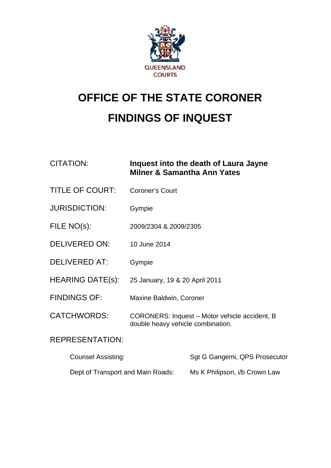

# **OFFICE OF THE STATE CORONER FINDINGS OF INQUEST**

## CITATION: **Inquest into the death of Laura Jayne Milner & Samantha Ann Yates**

- TITLE OF COURT: Coroner's Court
- JURISDICTION: Gympie
- FILE NO(s): 2009/2304 & 2009/2305
- DELIVERED ON: 10 June 2014
- DELIVERED AT: Gympie
- HEARING DATE(s): 25 January, 19 & 20 April 2011
- FINDINGS OF: Maxine Baldwin, Coroner
- CATCHWORDS: CORONERS: Inquest Motor vehicle accident, B double heavy vehicle combination.

## REPRESENTATION:

| <b>Counsel Assisting:</b>         | Sgt G Gangemi, QPS Prosecutor |
|-----------------------------------|-------------------------------|
| Dept of Transport and Main Roads: | Ms K Philipson, i/b Crown Law |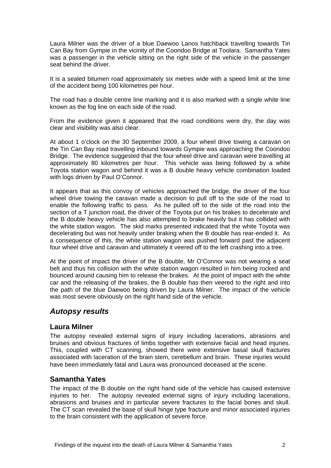Laura Milner was the driver of a blue Daewoo Lanos hatchback travelling towards Tin Can Bay from Gympie in the vicinity of the Coondoo Bridge at Toolara. Samantha Yates was a passenger in the vehicle sitting on the right side of the vehicle in the passenger seat behind the driver.

It is a sealed bitumen road approximately six metres wide with a speed limit at the time of the accident being 100 kilometres per hour.

The road has a double centre line marking and it is also marked with a single white line known as the fog line on each side of the road.

From the evidence given it appeared that the road conditions were dry, the day was clear and visibility was also clear.

At about 1 o'clock on the 30 September 2009, a four wheel drive towing a caravan on the Tin Can Bay road travelling inbound towards Gympie was approaching the Coondoo Bridge. The evidence suggested that the four wheel drive and caravan were travelling at approximately 80 kilometres per hour. This vehicle was being followed by a white Toyota station wagon and behind it was a B double heavy vehicle combination loaded with logs driven by Paul O'Connor.

It appears that as this convoy of vehicles approached the bridge, the driver of the four wheel drive towing the caravan made a decision to pull off to the side of the road to enable the following traffic to pass. As he pulled off to the side of the road into the section of a T junction road, the driver of the Toyota put on his brakes to decelerate and the B double heavy vehicle has also attempted to brake heavily but it has collided with the white station wagon. The skid marks presented indicated that the white Toyota was decelerating but was not heavily under braking when the B double has rear-ended it. As a consequence of this, the white station wagon was pushed forward past the adjacent four wheel drive and caravan and ultimately it veered off to the left crashing into a tree.

At the point of impact the driver of the B double, Mr O'Connor was not wearing a seat belt and thus his collision with the white station wagon resulted in him being rocked and bounced around causing him to release the brakes. At the point of impact with the white car and the releasing of the brakes, the B double has then veered to the right and into the path of the blue Daewoo being driven by Laura Milner. The impact of the vehicle was most severe obviously on the right hand side of the vehicle.

### *Autopsy results*

#### **Laura Milner**

The autopsy revealed external signs of injury including lacerations, abrasions and bruises and obvious fractures of limbs together with extensive facial and head injuries. This, coupled with CT scanning, showed there were extensive basal skull fractures associated with laceration of the brain stem, cerebellum and brain. These injuries would have been immediately fatal and Laura was pronounced deceased at the scene.

#### **Samantha Yates**

The impact of the B double on the right hand side of the vehicle has caused extensive injuries to her. The autopsy revealed external signs of injury including lacerations, abrasions and bruises and in particular severe fractures to the facial bones and skull. The CT scan revealed the base of skull hinge type fracture and minor associated injuries to the brain consistent with the application of severe force.